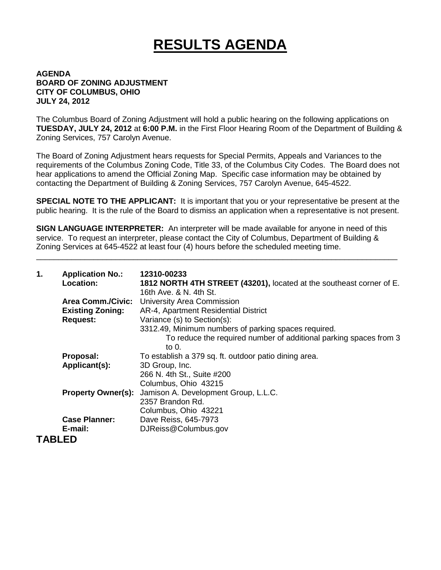# **RESULTS AGENDA**

### **AGENDA BOARD OF ZONING ADJUSTMENT CITY OF COLUMBUS, OHIO JULY 24, 2012**

The Columbus Board of Zoning Adjustment will hold a public hearing on the following applications on **TUESDAY, JULY 24, 2012** at **6:00 P.M.** in the First Floor Hearing Room of the Department of Building & Zoning Services, 757 Carolyn Avenue.

The Board of Zoning Adjustment hears requests for Special Permits, Appeals and Variances to the requirements of the Columbus Zoning Code, Title 33, of the Columbus City Codes. The Board does not hear applications to amend the Official Zoning Map. Specific case information may be obtained by contacting the Department of Building & Zoning Services, 757 Carolyn Avenue, 645-4522.

**SPECIAL NOTE TO THE APPLICANT:** It is important that you or your representative be present at the public hearing. It is the rule of the Board to dismiss an application when a representative is not present.

**SIGN LANGUAGE INTERPRETER:** An interpreter will be made available for anyone in need of this service. To request an interpreter, please contact the City of Columbus, Department of Building & Zoning Services at 645-4522 at least four (4) hours before the scheduled meeting time.

\_\_\_\_\_\_\_\_\_\_\_\_\_\_\_\_\_\_\_\_\_\_\_\_\_\_\_\_\_\_\_\_\_\_\_\_\_\_\_\_\_\_\_\_\_\_\_\_\_\_\_\_\_\_\_\_\_\_\_\_\_\_\_\_\_\_\_\_\_\_\_\_\_\_\_\_\_\_\_\_\_\_

| 1.            | <b>Application No.:</b><br>Location:                                   | 12310-00233<br>1812 NORTH 4TH STREET (43201), located at the southeast corner of E.                                                |
|---------------|------------------------------------------------------------------------|------------------------------------------------------------------------------------------------------------------------------------|
|               | <b>Area Comm./Civic:</b><br><b>Existing Zoning:</b><br><b>Request:</b> | 16th Ave. & N. 4th St.<br>University Area Commission<br>AR-4, Apartment Residential District<br>Variance (s) to Section(s):        |
|               |                                                                        | 3312.49, Minimum numbers of parking spaces required.<br>To reduce the required number of additional parking spaces from 3<br>to 0. |
|               | Proposal:                                                              | To establish a 379 sq. ft. outdoor patio dining area.                                                                              |
|               | Applicant(s):                                                          | 3D Group, Inc.                                                                                                                     |
|               |                                                                        | 266 N. 4th St., Suite #200                                                                                                         |
|               |                                                                        | Columbus, Ohio 43215                                                                                                               |
|               | <b>Property Owner(s):</b>                                              | Jamison A. Development Group, L.L.C.                                                                                               |
|               |                                                                        | 2357 Brandon Rd.                                                                                                                   |
|               |                                                                        | Columbus, Ohio 43221                                                                                                               |
|               | <b>Case Planner:</b>                                                   | Dave Reiss, 645-7973                                                                                                               |
|               | E-mail:                                                                | DJReiss@Columbus.gov                                                                                                               |
| <b>TABLED</b> |                                                                        |                                                                                                                                    |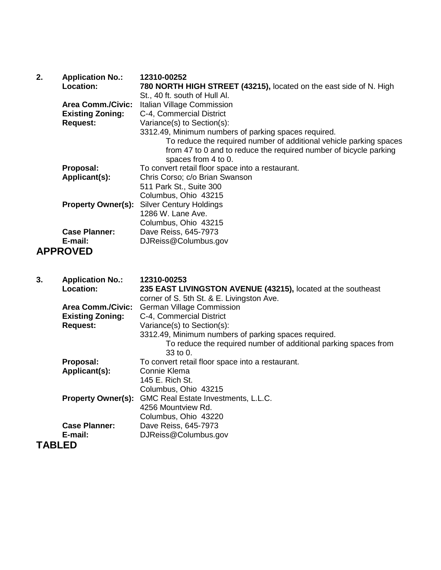| 2. | <b>Application No.:</b>   | 12310-00252                                                        |
|----|---------------------------|--------------------------------------------------------------------|
|    | Location:                 | 780 NORTH HIGH STREET (43215), located on the east side of N. High |
|    |                           | St., 40 ft. south of Hull Al.                                      |
|    | <b>Area Comm./Civic:</b>  | Italian Village Commission                                         |
|    | <b>Existing Zoning:</b>   | C-4, Commercial District                                           |
|    | <b>Request:</b>           | Variance(s) to Section(s):                                         |
|    |                           | 3312.49, Minimum numbers of parking spaces required.               |
|    |                           | To reduce the required number of additional vehicle parking spaces |
|    |                           | from 47 to 0 and to reduce the required number of bicycle parking  |
|    |                           | spaces from 4 to 0.                                                |
|    | Proposal:                 | To convert retail floor space into a restaurant.                   |
|    | Applicant(s):             | Chris Corso; c/o Brian Swanson                                     |
|    |                           | 511 Park St., Suite 300                                            |
|    |                           | Columbus, Ohio 43215                                               |
|    | <b>Property Owner(s):</b> | <b>Silver Century Holdings</b>                                     |
|    |                           | 1286 W. Lane Ave.                                                  |
|    |                           | Columbus, Ohio 43215                                               |
|    | <b>Case Planner:</b>      | Dave Reiss, 645-7973                                               |
|    | E-mail:                   | DJReiss@Columbus.gov                                               |
|    | <b>APPROVED</b>           |                                                                    |

| 3.            | <b>Application No.:</b>   | 12310-00253                                                     |
|---------------|---------------------------|-----------------------------------------------------------------|
|               | Location:                 | 235 EAST LIVINGSTON AVENUE (43215), located at the southeast    |
|               |                           | corner of S. 5th St. & E. Livingston Ave.                       |
|               | <b>Area Comm./Civic:</b>  | <b>German Village Commission</b>                                |
|               | <b>Existing Zoning:</b>   | C-4, Commercial District                                        |
|               | <b>Request:</b>           | Variance(s) to Section(s):                                      |
|               |                           | 3312.49, Minimum numbers of parking spaces required.            |
|               |                           | To reduce the required number of additional parking spaces from |
|               |                           | $33$ to 0.                                                      |
|               | Proposal:                 | To convert retail floor space into a restaurant.                |
|               | Applicant(s):             | Connie Klema                                                    |
|               |                           | 145 E. Rich St.                                                 |
|               |                           | Columbus, Ohio 43215                                            |
|               | <b>Property Owner(s):</b> | GMC Real Estate Investments, L.L.C.                             |
|               |                           | 4256 Mountview Rd.                                              |
|               |                           | Columbus, Ohio 43220                                            |
|               | <b>Case Planner:</b>      | Dave Reiss, 645-7973                                            |
|               | E-mail:                   | DJReiss@Columbus.gov                                            |
| <b>TABLED</b> |                           |                                                                 |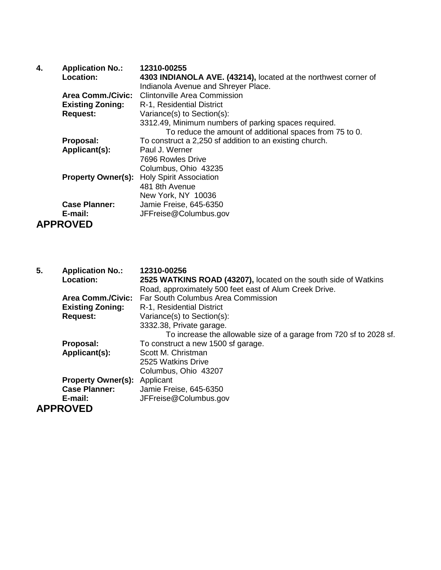| 4. | <b>Application No.:</b>   | 12310-00255                                                     |
|----|---------------------------|-----------------------------------------------------------------|
|    | Location:                 | 4303 INDIANOLA AVE. (43214), located at the northwest corner of |
|    |                           | Indianola Avenue and Shreyer Place.                             |
|    | <b>Area Comm./Civic:</b>  | Clintonville Area Commission                                    |
|    | <b>Existing Zoning:</b>   | R-1, Residential District                                       |
|    | <b>Request:</b>           | Variance(s) to Section(s):                                      |
|    |                           | 3312.49, Minimum numbers of parking spaces required.            |
|    |                           | To reduce the amount of additional spaces from 75 to 0.         |
|    | Proposal:                 | To construct a 2,250 sf addition to an existing church.         |
|    | Applicant(s):             | Paul J. Werner                                                  |
|    |                           | 7696 Rowles Drive                                               |
|    |                           | Columbus, Ohio 43235                                            |
|    | <b>Property Owner(s):</b> | <b>Holy Spirit Association</b>                                  |
|    |                           | 481 8th Avenue                                                  |
|    |                           | New York, NY 10036                                              |
|    | <b>Case Planner:</b>      | Jamie Freise, 645-6350                                          |
|    | E-mail:                   | JFFreise@Columbus.gov                                           |
|    | <b>APPROVED</b>           |                                                                 |

| 5. | <b>Application No.:</b>   | 12310-00256                                                        |
|----|---------------------------|--------------------------------------------------------------------|
|    | Location:                 | 2525 WATKINS ROAD (43207), located on the south side of Watkins    |
|    |                           | Road, approximately 500 feet east of Alum Creek Drive.             |
|    | <b>Area Comm./Civic:</b>  | Far South Columbus Area Commission                                 |
|    | <b>Existing Zoning:</b>   | R-1, Residential District                                          |
|    | <b>Request:</b>           | Variance(s) to Section(s):                                         |
|    |                           | 3332.38, Private garage.                                           |
|    |                           | To increase the allowable size of a garage from 720 sf to 2028 sf. |
|    | Proposal:                 | To construct a new 1500 sf garage.                                 |
|    | Applicant(s):             | Scott M. Christman                                                 |
|    |                           | 2525 Watkins Drive                                                 |
|    |                           | Columbus, Ohio 43207                                               |
|    | <b>Property Owner(s):</b> | Applicant                                                          |
|    | <b>Case Planner:</b>      | Jamie Freise, 645-6350                                             |
|    | E-mail:                   | JFFreise@Columbus.gov                                              |
|    | <b>APPROVED</b>           |                                                                    |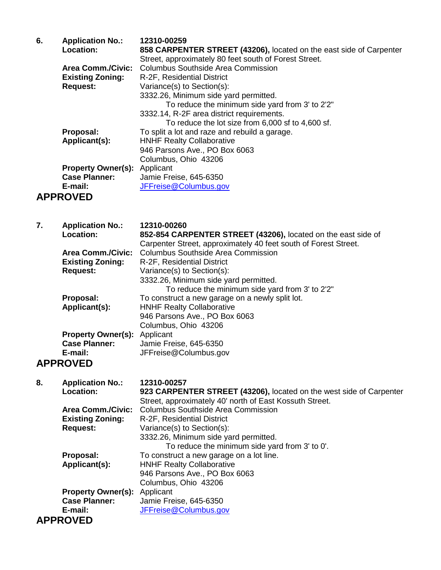| 6. | <b>Application No.:</b>   | 12310-00259                                                         |
|----|---------------------------|---------------------------------------------------------------------|
|    | Location:                 | 858 CARPENTER STREET (43206), located on the east side of Carpenter |
|    |                           | Street, approximately 80 feet south of Forest Street.               |
|    | <b>Area Comm./Civic:</b>  | Columbus Southside Area Commission                                  |
|    | <b>Existing Zoning:</b>   | R-2F, Residential District                                          |
|    | <b>Request:</b>           | Variance(s) to Section(s):                                          |
|    |                           | 3332.26, Minimum side yard permitted.                               |
|    |                           | To reduce the minimum side yard from 3' to 2'2"                     |
|    |                           | 3332.14, R-2F area district requirements.                           |
|    |                           | To reduce the lot size from 6,000 sf to 4,600 sf.                   |
|    | Proposal:                 | To split a lot and raze and rebuild a garage.                       |
|    | Applicant(s):             | <b>HNHF Realty Collaborative</b>                                    |
|    |                           | 946 Parsons Ave., PO Box 6063                                       |
|    |                           | Columbus, Ohio 43206                                                |
|    | <b>Property Owner(s):</b> | Applicant                                                           |
|    | <b>Case Planner:</b>      | Jamie Freise, 645-6350                                              |
|    | E-mail:                   | JFFreise@Columbus.gov                                               |
|    | <b>APPROVED</b>           |                                                                     |

| 7. | <b>Application No.:</b>   | 12310-00260                                                     |
|----|---------------------------|-----------------------------------------------------------------|
|    | <b>Location:</b>          | 852-854 CARPENTER STREET (43206), located on the east side of   |
|    |                           | Carpenter Street, approximately 40 feet south of Forest Street. |
|    | <b>Area Comm./Civic:</b>  | Columbus Southside Area Commission                              |
|    | <b>Existing Zoning:</b>   | R-2F, Residential District                                      |
|    | <b>Request:</b>           | Variance(s) to Section(s):                                      |
|    |                           | 3332.26, Minimum side yard permitted.                           |
|    |                           | To reduce the minimum side yard from 3' to 2'2"                 |
|    | Proposal:                 | To construct a new garage on a newly split lot.                 |
|    | Applicant(s):             | <b>HNHF Realty Collaborative</b>                                |
|    |                           | 946 Parsons Ave., PO Box 6063                                   |
|    |                           | Columbus, Ohio 43206                                            |
|    | <b>Property Owner(s):</b> | Applicant                                                       |
|    | <b>Case Planner:</b>      | Jamie Freise, 645-6350                                          |
|    | E-mail:                   | JFFreise@Columbus.gov                                           |
|    | <b>APPROVED</b>           |                                                                 |

| 8. | <b>Application No.:</b><br><b>Location:</b> | 12310-00257<br>923 CARPENTER STREET (43206), located on the west side of Carpenter<br>Street, approximately 40' north of East Kossuth Street. |
|----|---------------------------------------------|-----------------------------------------------------------------------------------------------------------------------------------------------|
|    | <b>Area Comm./Civic:</b>                    | Columbus Southside Area Commission                                                                                                            |
|    | <b>Existing Zoning:</b>                     | R-2F, Residential District                                                                                                                    |
|    | <b>Request:</b>                             | Variance(s) to Section(s):                                                                                                                    |
|    |                                             | 3332.26, Minimum side yard permitted.                                                                                                         |
|    |                                             | To reduce the minimum side yard from 3' to 0'.                                                                                                |
|    | Proposal:                                   | To construct a new garage on a lot line.                                                                                                      |
|    | Applicant(s):                               | <b>HNHF Realty Collaborative</b>                                                                                                              |
|    |                                             | 946 Parsons Ave., PO Box 6063                                                                                                                 |
|    |                                             | Columbus, Ohio 43206                                                                                                                          |
|    | <b>Property Owner(s):</b>                   | Applicant                                                                                                                                     |
|    | <b>Case Planner:</b>                        | Jamie Freise, 645-6350                                                                                                                        |
|    | E-mail:                                     | JFFreise@Columbus.gov                                                                                                                         |
|    | <b>APPROVED</b>                             |                                                                                                                                               |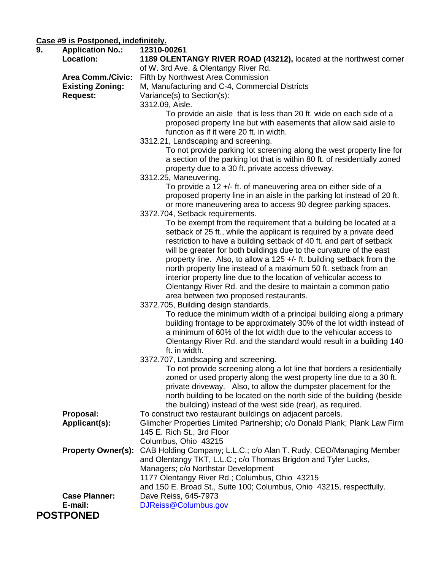### **Case #9 is Postponed, indefinitely.**

| 9. | <b>Application No.:</b>   | 12310-00261                                                               |
|----|---------------------------|---------------------------------------------------------------------------|
|    | Location:                 | 1189 OLENTANGY RIVER ROAD (43212), located at the northwest corner        |
|    |                           | of W. 3rd Ave. & Olentangy River Rd.                                      |
|    | <b>Area Comm./Civic:</b>  | Fifth by Northwest Area Commission                                        |
|    | <b>Existing Zoning:</b>   | M, Manufacturing and C-4, Commercial Districts                            |
|    | <b>Request:</b>           | Variance(s) to Section(s):                                                |
|    |                           | 3312.09, Aisle.                                                           |
|    |                           | To provide an aisle that is less than 20 ft. wide on each side of a       |
|    |                           | proposed property line but with easements that allow said aisle to        |
|    |                           | function as if it were 20 ft. in width.                                   |
|    |                           | 3312.21, Landscaping and screening.                                       |
|    |                           | To not provide parking lot screening along the west property line for     |
|    |                           | a section of the parking lot that is within 80 ft. of residentially zoned |
|    |                           | property due to a 30 ft. private access driveway.                         |
|    |                           | 3312.25, Maneuvering.                                                     |
|    |                           | To provide a 12 $+/-$ ft. of maneuvering area on either side of a         |
|    |                           |                                                                           |
|    |                           | proposed property line in an aisle in the parking lot instead of 20 ft.   |
|    |                           | or more maneuvering area to access 90 degree parking spaces.              |
|    |                           | 3372.704, Setback requirements.                                           |
|    |                           | To be exempt from the requirement that a building be located at a         |
|    |                           | setback of 25 ft., while the applicant is required by a private deed      |
|    |                           | restriction to have a building setback of 40 ft. and part of setback      |
|    |                           | will be greater for both buildings due to the curvature of the east       |
|    |                           | property line. Also, to allow a $125 +/-$ ft. building setback from the   |
|    |                           | north property line instead of a maximum 50 ft. setback from an           |
|    |                           | interior property line due to the location of vehicular access to         |
|    |                           | Olentangy River Rd. and the desire to maintain a common patio             |
|    |                           | area between two proposed restaurants.                                    |
|    |                           | 3372.705, Building design standards.                                      |
|    |                           | To reduce the minimum width of a principal building along a primary       |
|    |                           | building frontage to be approximately 30% of the lot width instead of     |
|    |                           | a minimum of 60% of the lot width due to the vehicular access to          |
|    |                           | Olentangy River Rd. and the standard would result in a building 140       |
|    |                           | ft. in width.                                                             |
|    |                           | 3372.707, Landscaping and screening.                                      |
|    |                           | To not provide screening along a lot line that borders a residentially    |
|    |                           | zoned or used property along the west property line due to a 30 ft.       |
|    |                           | private driveway. Also, to allow the dumpster placement for the           |
|    |                           | north building to be located on the north side of the building (beside    |
|    |                           | the building) instead of the west side (rear), as required.               |
|    | Proposal:                 | To construct two restaurant buildings on adjacent parcels.                |
|    | Applicant(s):             | Glimcher Properties Limited Partnership; c/o Donald Plank; Plank Law Firm |
|    |                           | 145 E. Rich St., 3rd Floor                                                |
|    |                           | Columbus, Ohio 43215                                                      |
|    | <b>Property Owner(s):</b> | CAB Holding Company; L.L.C.; c/o Alan T. Rudy, CEO/Managing Member        |
|    |                           | and Olentangy TKT, L.L.C.; c/o Thomas Brigdon and Tyler Lucks,            |
|    |                           | Managers; c/o Northstar Development                                       |
|    |                           | 1177 Olentangy River Rd.; Columbus, Ohio 43215                            |
|    |                           | and 150 E. Broad St., Suite 100; Columbus, Ohio 43215, respectfully.      |
|    | <b>Case Planner:</b>      | Dave Reiss, 645-7973                                                      |
|    | E-mail:                   | DJReiss@Columbus.gov                                                      |
|    | <b>POSTPONED</b>          |                                                                           |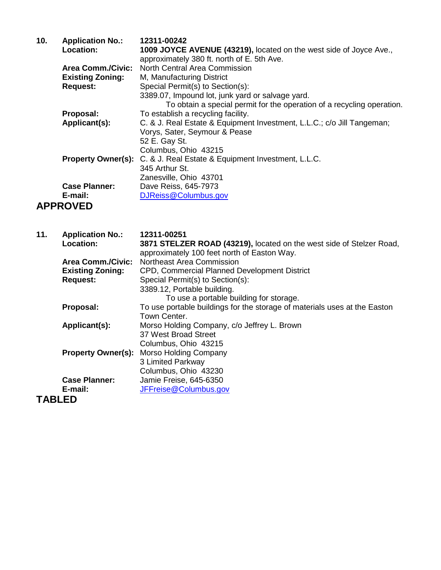| 10. | <b>Application No.:</b>  | 12311-00242                                                                  |
|-----|--------------------------|------------------------------------------------------------------------------|
|     | Location:                | 1009 JOYCE AVENUE (43219), located on the west side of Joyce Ave.,           |
|     |                          | approximately 380 ft. north of E. 5th Ave.                                   |
|     | <b>Area Comm./Civic:</b> | North Central Area Commission                                                |
|     | <b>Existing Zoning:</b>  | M, Manufacturing District                                                    |
|     | <b>Request:</b>          | Special Permit(s) to Section(s):                                             |
|     |                          | 3389.07, Impound lot, junk yard or salvage yard.                             |
|     |                          | To obtain a special permit for the operation of a recycling operation.       |
|     | Proposal:                | To establish a recycling facility.                                           |
|     | Applicant(s):            | C. & J. Real Estate & Equipment Investment, L.L.C.; c/o Jill Tangeman;       |
|     |                          | Vorys, Sater, Seymour & Pease                                                |
|     |                          | 52 E. Gay St.                                                                |
|     |                          | Columbus, Ohio 43215                                                         |
|     |                          | <b>Property Owner(s):</b> C. & J. Real Estate & Equipment Investment, L.L.C. |
|     |                          | 345 Arthur St.                                                               |
|     |                          | Zanesville, Ohio 43701                                                       |
|     | <b>Case Planner:</b>     | Dave Reiss, 645-7973                                                         |
|     | E-mail:                  | DJReiss@Columbus.gov                                                         |
|     | <b>APPROVED</b>          |                                                                              |

| 11.    | <b>Application No.:</b>   | 12311-00251                                                               |
|--------|---------------------------|---------------------------------------------------------------------------|
|        | <b>Location:</b>          | 3871 STELZER ROAD (43219), located on the west side of Stelzer Road,      |
|        |                           | approximately 100 feet north of Easton Way.                               |
|        | <b>Area Comm./Civic:</b>  | Northeast Area Commission                                                 |
|        | <b>Existing Zoning:</b>   | CPD, Commercial Planned Development District                              |
|        | <b>Request:</b>           | Special Permit(s) to Section(s):                                          |
|        |                           | 3389.12, Portable building.                                               |
|        |                           | To use a portable building for storage.                                   |
|        | Proposal:                 | To use portable buildings for the storage of materials uses at the Easton |
|        |                           | Town Center.                                                              |
|        | Applicant(s):             | Morso Holding Company, c/o Jeffrey L. Brown                               |
|        |                           | 37 West Broad Street                                                      |
|        |                           | Columbus, Ohio 43215                                                      |
|        | <b>Property Owner(s):</b> | Morso Holding Company                                                     |
|        |                           | 3 Limited Parkway                                                         |
|        |                           | Columbus, Ohio 43230                                                      |
|        | <b>Case Planner:</b>      | Jamie Freise, 645-6350                                                    |
|        | E-mail:                   | JFFreise@Columbus.gov                                                     |
| TABLED |                           |                                                                           |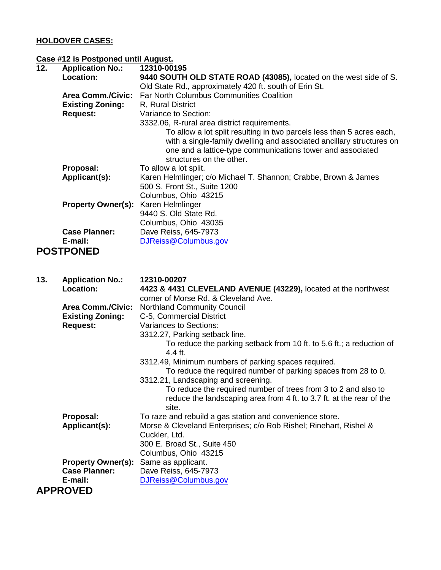## **HOLDOVER CASES:**

## **Case #12 is Postponed until August.**

| 12. | <u>Case #12 Is Postponed until August.</u><br><b>Application No.:</b> | 12310-00195                                                                                                                                                                                                                             |
|-----|-----------------------------------------------------------------------|-----------------------------------------------------------------------------------------------------------------------------------------------------------------------------------------------------------------------------------------|
|     | Location:                                                             | 9440 SOUTH OLD STATE ROAD (43085), located on the west side of S.                                                                                                                                                                       |
|     |                                                                       | Old State Rd., approximately 420 ft. south of Erin St.                                                                                                                                                                                  |
|     | <b>Area Comm./Civic:</b>                                              | <b>Far North Columbus Communities Coalition</b>                                                                                                                                                                                         |
|     | <b>Existing Zoning:</b>                                               | R, Rural District                                                                                                                                                                                                                       |
|     | <b>Request:</b>                                                       | Variance to Section:                                                                                                                                                                                                                    |
|     |                                                                       | 3332.06, R-rural area district requirements.                                                                                                                                                                                            |
|     |                                                                       | To allow a lot split resulting in two parcels less than 5 acres each,<br>with a single-family dwelling and associated ancillary structures on<br>one and a lattice-type communications tower and associated<br>structures on the other. |
|     | Proposal:                                                             | To allow a lot split.                                                                                                                                                                                                                   |
|     | Applicant(s):                                                         | Karen Helmlinger; c/o Michael T. Shannon; Crabbe, Brown & James<br>500 S. Front St., Suite 1200<br>Columbus, Ohio 43215                                                                                                                 |
|     | <b>Property Owner(s):</b>                                             | Karen Helmlinger                                                                                                                                                                                                                        |
|     |                                                                       | 9440 S. Old State Rd.                                                                                                                                                                                                                   |
|     |                                                                       | Columbus, Ohio 43035                                                                                                                                                                                                                    |
|     | <b>Case Planner:</b>                                                  | Dave Reiss, 645-7973                                                                                                                                                                                                                    |
|     | E-mail:                                                               | DJReiss@Columbus.gov                                                                                                                                                                                                                    |
|     | <b>POSTPONED</b>                                                      |                                                                                                                                                                                                                                         |
|     |                                                                       |                                                                                                                                                                                                                                         |
|     |                                                                       |                                                                                                                                                                                                                                         |
| 13. |                                                                       |                                                                                                                                                                                                                                         |
|     | <b>Application No.:</b>                                               | 12310-00207                                                                                                                                                                                                                             |
|     | <b>Location:</b>                                                      | 4423 & 4431 CLEVELAND AVENUE (43229), located at the northwest                                                                                                                                                                          |
|     |                                                                       | corner of Morse Rd. & Cleveland Ave.                                                                                                                                                                                                    |
|     | <b>Area Comm./Civic:</b>                                              | <b>Northland Community Council</b>                                                                                                                                                                                                      |
|     | <b>Existing Zoning:</b>                                               | C-5, Commercial District                                                                                                                                                                                                                |
|     | <b>Request:</b>                                                       | <b>Variances to Sections:</b>                                                                                                                                                                                                           |
|     |                                                                       | 3312.27, Parking setback line.                                                                                                                                                                                                          |
|     |                                                                       | To reduce the parking setback from 10 ft. to 5.6 ft.; a reduction of                                                                                                                                                                    |
|     |                                                                       | 4.4 ft.                                                                                                                                                                                                                                 |
|     |                                                                       | 3312.49, Minimum numbers of parking spaces required.                                                                                                                                                                                    |
|     |                                                                       | To reduce the required number of parking spaces from 28 to 0.                                                                                                                                                                           |
|     |                                                                       | 3312.21, Landscaping and screening.                                                                                                                                                                                                     |
|     |                                                                       | To reduce the required number of trees from 3 to 2 and also to                                                                                                                                                                          |
|     |                                                                       | reduce the landscaping area from 4 ft. to 3.7 ft. at the rear of the                                                                                                                                                                    |
|     |                                                                       | site.                                                                                                                                                                                                                                   |
|     | Proposal:                                                             | To raze and rebuild a gas station and convenience store.                                                                                                                                                                                |
|     | Applicant(s):                                                         | Morse & Cleveland Enterprises; c/o Rob Rishel; Rinehart, Rishel &                                                                                                                                                                       |
|     |                                                                       | Cuckler, Ltd.                                                                                                                                                                                                                           |
|     |                                                                       | 300 E. Broad St., Suite 450<br>Columbus, Ohio 43215                                                                                                                                                                                     |

**Property Owner(s):** Same as applicant.<br>**Case Planner:** Dave Reiss, 645-79

**Case Planner:** Dave Reiss, 645-7973<br> **E-mail:** DJReiss@Columbus.q **E-mail:** [DJReiss@Columbus.gov](mailto:DJReiss@Columbus.gov)

**APPROVED**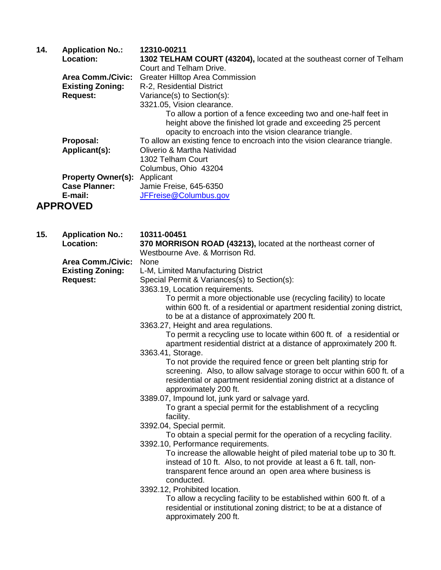| 14.             | <b>Application No.:</b><br>Location:                                   | 12310-00211<br>1302 TELHAM COURT (43204), located at the southeast corner of Telham<br>Court and Telham Drive.                                                                                                                                                                                                                                      |
|-----------------|------------------------------------------------------------------------|-----------------------------------------------------------------------------------------------------------------------------------------------------------------------------------------------------------------------------------------------------------------------------------------------------------------------------------------------------|
|                 | <b>Area Comm./Civic:</b><br><b>Existing Zoning:</b><br><b>Request:</b> | <b>Greater Hilltop Area Commission</b><br>R-2, Residential District<br>Variance(s) to Section(s):<br>3321.05, Vision clearance.                                                                                                                                                                                                                     |
|                 |                                                                        | To allow a portion of a fence exceeding two and one-half feet in                                                                                                                                                                                                                                                                                    |
|                 |                                                                        | height above the finished lot grade and exceeding 25 percent<br>opacity to encroach into the vision clearance triangle.                                                                                                                                                                                                                             |
|                 | Proposal:                                                              | To allow an existing fence to encroach into the vision clearance triangle.                                                                                                                                                                                                                                                                          |
|                 | Applicant(s):                                                          | Oliverio & Martha Natividad                                                                                                                                                                                                                                                                                                                         |
|                 |                                                                        | 1302 Telham Court<br>Columbus, Ohio 43204                                                                                                                                                                                                                                                                                                           |
|                 | <b>Property Owner(s):</b>                                              | Applicant                                                                                                                                                                                                                                                                                                                                           |
|                 | <b>Case Planner:</b>                                                   | Jamie Freise, 645-6350                                                                                                                                                                                                                                                                                                                              |
|                 | E-mail:                                                                | JFFreise@Columbus.gov                                                                                                                                                                                                                                                                                                                               |
| <b>APPROVED</b> |                                                                        |                                                                                                                                                                                                                                                                                                                                                     |
|                 |                                                                        |                                                                                                                                                                                                                                                                                                                                                     |
| 15.             | <b>Application No.:</b>                                                | 10311-00451                                                                                                                                                                                                                                                                                                                                         |
|                 | <b>Location:</b>                                                       | 370 MORRISON ROAD (43213), located at the northeast corner of                                                                                                                                                                                                                                                                                       |
|                 |                                                                        | Westbourne Ave. & Morrison Rd.                                                                                                                                                                                                                                                                                                                      |
|                 | <b>Area Comm./Civic:</b>                                               | None                                                                                                                                                                                                                                                                                                                                                |
|                 | <b>Existing Zoning:</b><br><b>Request:</b>                             | L-M, Limited Manufacturing District                                                                                                                                                                                                                                                                                                                 |
|                 |                                                                        | Special Permit & Variances(s) to Section(s):<br>3363.19, Location requirements.                                                                                                                                                                                                                                                                     |
|                 |                                                                        | To permit a more objectionable use (recycling facility) to locate<br>within 600 ft. of a residential or apartment residential zoning district,<br>to be at a distance of approximately 200 ft.                                                                                                                                                      |
|                 |                                                                        | 3363.27, Height and area regulations.                                                                                                                                                                                                                                                                                                               |
|                 |                                                                        | $\mathbf{r}$ , $\mathbf{r}$ , $\mathbf{r}$ , $\mathbf{r}$ , $\mathbf{r}$ , $\mathbf{r}$ , $\mathbf{r}$ , $\mathbf{r}$ , $\mathbf{r}$ , $\mathbf{r}$ , $\mathbf{r}$ , $\mathbf{r}$ , $\mathbf{r}$ , $\mathbf{r}$ , $\mathbf{r}$ , $\mathbf{r}$ , $\mathbf{r}$ , $\mathbf{r}$ , $\mathbf{r}$ , $\mathbf{r}$ ,<br>the company's company's property and |

To permit a recycling use to locate within 600 ft. of a residential or apartment residential district at a distance of approximately 200 ft.

## 3363.41, Storage.

To not provide the required fence or green belt planting strip for screening. Also, to allow salvage storage to occur within 600 ft. of a residential or apartment residential zoning district at a distance of approximately 200 ft.

3389.07, Impound lot, junk yard or salvage yard.

To grant a special permit for the establishment of a recycling facility.

3392.04, Special permit.

To obtain a special permit for the operation of a recycling facility. 3392.10, Performance requirements.

> To increase the allowable height of piled material tobe up to 30 ft. instead of 10 ft. Also, to not provide at least a 6 ft. tall, nontransparent fence around an open area where business is conducted.

3392.12, Prohibited location.

To allow a recycling facility to be established within 600 ft. of a residential or institutional zoning district; to be at a distance of approximately 200 ft.